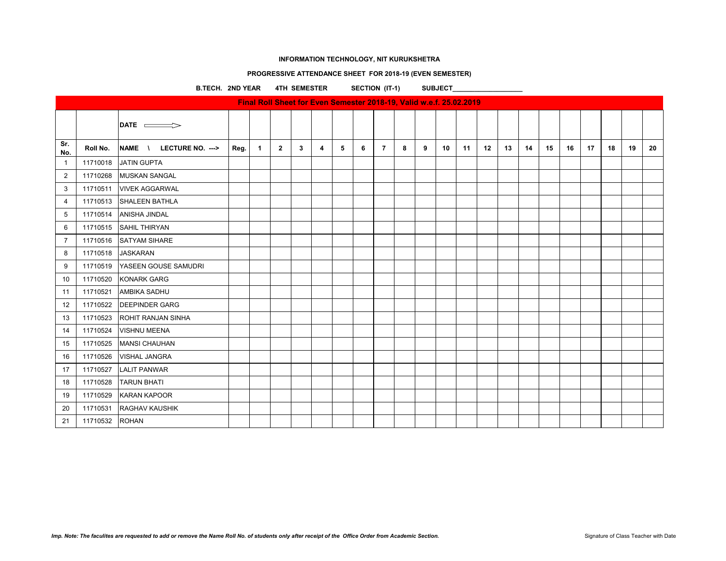# **PROGRESSIVE ATTENDANCE SHEET FOR 2018-19 (EVEN SEMESTER)**

**B.TECH. 2ND YEAR 4TH SEMESTER SECTION (IT-1) SUBJECT\_\_\_\_\_\_\_\_\_\_\_\_\_\_\_\_\_\_\_**

|                | Final Roll Sheet for Even Semester 2018-19, Valid w.e.f. 25.02.2019 |                           |      |              |                |   |                |   |   |                |   |   |    |    |    |    |    |    |    |    |    |    |    |
|----------------|---------------------------------------------------------------------|---------------------------|------|--------------|----------------|---|----------------|---|---|----------------|---|---|----|----|----|----|----|----|----|----|----|----|----|
|                |                                                                     | DATE $\equiv$             |      |              |                |   |                |   |   |                |   |   |    |    |    |    |    |    |    |    |    |    |    |
| Sr.<br>No.     | Roll No.                                                            | NAME \ LECTURE NO. --->   | Reg. | $\mathbf{1}$ | $\overline{2}$ | 3 | $\overline{4}$ | 5 | 6 | $\overline{7}$ | 8 | 9 | 10 | 11 | 12 | 13 | 14 | 15 | 16 | 17 | 18 | 19 | 20 |
| $\overline{1}$ | 11710018                                                            | <b>JATIN GUPTA</b>        |      |              |                |   |                |   |   |                |   |   |    |    |    |    |    |    |    |    |    |    |    |
| $\sqrt{2}$     | 11710268                                                            | <b>MUSKAN SANGAL</b>      |      |              |                |   |                |   |   |                |   |   |    |    |    |    |    |    |    |    |    |    |    |
| 3              | 11710511                                                            | <b>VIVEK AGGARWAL</b>     |      |              |                |   |                |   |   |                |   |   |    |    |    |    |    |    |    |    |    |    |    |
| $\overline{4}$ | 11710513                                                            | <b>SHALEEN BATHLA</b>     |      |              |                |   |                |   |   |                |   |   |    |    |    |    |    |    |    |    |    |    |    |
| 5              | 11710514                                                            | <b>ANISHA JINDAL</b>      |      |              |                |   |                |   |   |                |   |   |    |    |    |    |    |    |    |    |    |    |    |
| 6              | 11710515                                                            | <b>SAHIL THIRYAN</b>      |      |              |                |   |                |   |   |                |   |   |    |    |    |    |    |    |    |    |    |    |    |
| $\overline{7}$ | 11710516                                                            | <b>SATYAM SIHARE</b>      |      |              |                |   |                |   |   |                |   |   |    |    |    |    |    |    |    |    |    |    |    |
| 8              | 11710518                                                            | <b>JASKARAN</b>           |      |              |                |   |                |   |   |                |   |   |    |    |    |    |    |    |    |    |    |    |    |
| 9              | 11710519                                                            | YASEEN GOUSE SAMUDRI      |      |              |                |   |                |   |   |                |   |   |    |    |    |    |    |    |    |    |    |    |    |
| 10             | 11710520                                                            | <b>KONARK GARG</b>        |      |              |                |   |                |   |   |                |   |   |    |    |    |    |    |    |    |    |    |    |    |
| 11             | 11710521                                                            | <b>AMBIKA SADHU</b>       |      |              |                |   |                |   |   |                |   |   |    |    |    |    |    |    |    |    |    |    |    |
| 12             | 11710522                                                            | <b>DEEPINDER GARG</b>     |      |              |                |   |                |   |   |                |   |   |    |    |    |    |    |    |    |    |    |    |    |
| 13             | 11710523                                                            | <b>ROHIT RANJAN SINHA</b> |      |              |                |   |                |   |   |                |   |   |    |    |    |    |    |    |    |    |    |    |    |
| 14             | 11710524                                                            | <b>VISHNU MEENA</b>       |      |              |                |   |                |   |   |                |   |   |    |    |    |    |    |    |    |    |    |    |    |
| 15             | 11710525                                                            | <b>MANSI CHAUHAN</b>      |      |              |                |   |                |   |   |                |   |   |    |    |    |    |    |    |    |    |    |    |    |
| 16             | 11710526                                                            | <b>VISHAL JANGRA</b>      |      |              |                |   |                |   |   |                |   |   |    |    |    |    |    |    |    |    |    |    |    |
| 17             | 11710527                                                            | <b>LALIT PANWAR</b>       |      |              |                |   |                |   |   |                |   |   |    |    |    |    |    |    |    |    |    |    |    |
| 18             | 11710528                                                            | <b>TARUN BHATI</b>        |      |              |                |   |                |   |   |                |   |   |    |    |    |    |    |    |    |    |    |    |    |
| 19             | 11710529                                                            | <b>KARAN KAPOOR</b>       |      |              |                |   |                |   |   |                |   |   |    |    |    |    |    |    |    |    |    |    |    |
| 20             | 11710531                                                            | <b>RAGHAV KAUSHIK</b>     |      |              |                |   |                |   |   |                |   |   |    |    |    |    |    |    |    |    |    |    |    |
| 21             | 11710532                                                            | <b>ROHAN</b>              |      |              |                |   |                |   |   |                |   |   |    |    |    |    |    |    |    |    |    |    |    |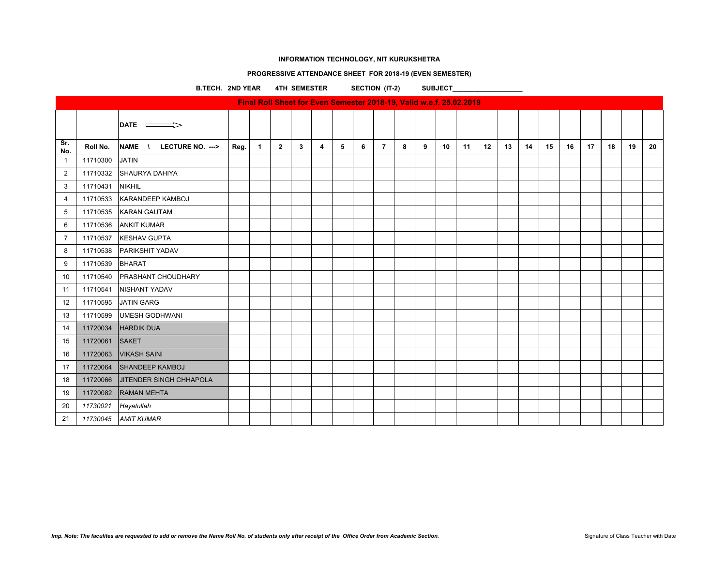# **PROGRESSIVE ATTENDANCE SHEET FOR 2018-19 (EVEN SEMESTER)**

**B.TECH. 2ND YEAR 4TH SEMESTER SECTION (IT-2) SUBJECT\_\_\_\_\_\_\_\_\_\_\_\_\_\_\_\_\_\_\_**

| Final Roll Sheet for Even Semester 2018-19, Valid w.e.f. 25.02.2019 |          |                                   |      |              |                |   |   |   |   |                |   |   |    |    |    |    |    |    |    |    |    |    |    |
|---------------------------------------------------------------------|----------|-----------------------------------|------|--------------|----------------|---|---|---|---|----------------|---|---|----|----|----|----|----|----|----|----|----|----|----|
|                                                                     |          | $\mathsf{DATE}$ $\longrightarrow$ |      |              |                |   |   |   |   |                |   |   |    |    |    |    |    |    |    |    |    |    |    |
| Sr.<br>No.                                                          | Roll No. | NAME \ LECTURE NO. --->           | Reg. | $\mathbf{1}$ | $\overline{2}$ | 3 | 4 | 5 | 6 | $\overline{7}$ | 8 | 9 | 10 | 11 | 12 | 13 | 14 | 15 | 16 | 17 | 18 | 19 | 20 |
| $\overline{1}$                                                      | 11710300 | <b>JATIN</b>                      |      |              |                |   |   |   |   |                |   |   |    |    |    |    |    |    |    |    |    |    |    |
| $\overline{2}$                                                      |          | 11710332 SHAURYA DAHIYA           |      |              |                |   |   |   |   |                |   |   |    |    |    |    |    |    |    |    |    |    |    |
| 3                                                                   | 11710431 | <b>NIKHIL</b>                     |      |              |                |   |   |   |   |                |   |   |    |    |    |    |    |    |    |    |    |    |    |
| $\overline{4}$                                                      | 11710533 | KARANDEEP KAMBOJ                  |      |              |                |   |   |   |   |                |   |   |    |    |    |    |    |    |    |    |    |    |    |
| 5                                                                   | 11710535 | <b>KARAN GAUTAM</b>               |      |              |                |   |   |   |   |                |   |   |    |    |    |    |    |    |    |    |    |    |    |
| 6                                                                   | 11710536 | <b>ANKIT KUMAR</b>                |      |              |                |   |   |   |   |                |   |   |    |    |    |    |    |    |    |    |    |    |    |
| $\overline{7}$                                                      | 11710537 | <b>KESHAV GUPTA</b>               |      |              |                |   |   |   |   |                |   |   |    |    |    |    |    |    |    |    |    |    |    |
| 8                                                                   | 11710538 | <b>PARIKSHIT YADAV</b>            |      |              |                |   |   |   |   |                |   |   |    |    |    |    |    |    |    |    |    |    |    |
| 9                                                                   | 11710539 | BHARAT                            |      |              |                |   |   |   |   |                |   |   |    |    |    |    |    |    |    |    |    |    |    |
| 10                                                                  | 11710540 | <b>PRASHANT CHOUDHARY</b>         |      |              |                |   |   |   |   |                |   |   |    |    |    |    |    |    |    |    |    |    |    |
| 11                                                                  | 11710541 | <b>NISHANT YADAV</b>              |      |              |                |   |   |   |   |                |   |   |    |    |    |    |    |    |    |    |    |    |    |
| 12                                                                  | 11710595 | <b>JATIN GARG</b>                 |      |              |                |   |   |   |   |                |   |   |    |    |    |    |    |    |    |    |    |    |    |
| 13                                                                  | 11710599 | <b>UMESH GODHWANI</b>             |      |              |                |   |   |   |   |                |   |   |    |    |    |    |    |    |    |    |    |    |    |
| 14                                                                  | 11720034 | <b>HARDIK DUA</b>                 |      |              |                |   |   |   |   |                |   |   |    |    |    |    |    |    |    |    |    |    |    |
| 15                                                                  | 11720061 | <b>SAKET</b>                      |      |              |                |   |   |   |   |                |   |   |    |    |    |    |    |    |    |    |    |    |    |
| 16                                                                  | 11720063 | <b>VIKASH SAINI</b>               |      |              |                |   |   |   |   |                |   |   |    |    |    |    |    |    |    |    |    |    |    |
| 17                                                                  | 11720064 | <b>SHANDEEP KAMBOJ</b>            |      |              |                |   |   |   |   |                |   |   |    |    |    |    |    |    |    |    |    |    |    |
| 18                                                                  | 11720066 | <b>JITENDER SINGH CHHAPOLA</b>    |      |              |                |   |   |   |   |                |   |   |    |    |    |    |    |    |    |    |    |    |    |
| 19                                                                  | 11720082 | <b>RAMAN MEHTA</b>                |      |              |                |   |   |   |   |                |   |   |    |    |    |    |    |    |    |    |    |    |    |
| 20                                                                  | 11730021 | Hayatullah                        |      |              |                |   |   |   |   |                |   |   |    |    |    |    |    |    |    |    |    |    |    |
| 21                                                                  | 11730045 | <b>AMIT KUMAR</b>                 |      |              |                |   |   |   |   |                |   |   |    |    |    |    |    |    |    |    |    |    |    |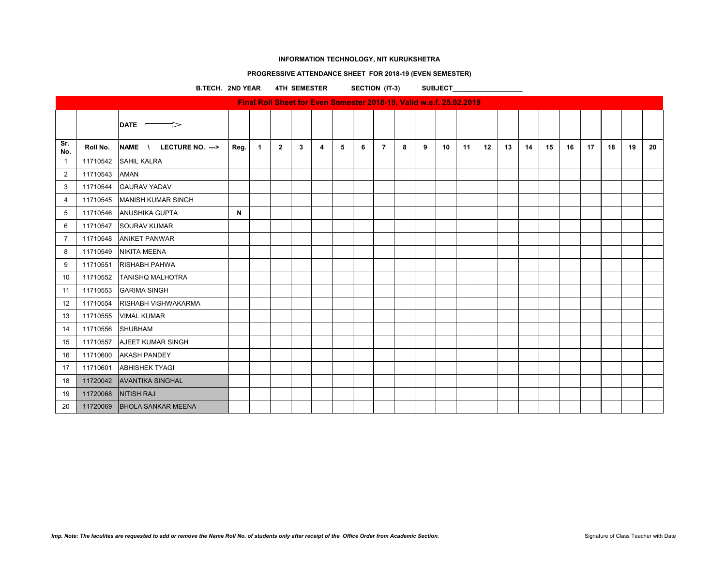# **PROGRESSIVE ATTENDANCE SHEET FOR 2018-19 (EVEN SEMESTER)**

**B.TECH. 2ND YEAR 4TH SEMESTER SECTION (IT-3) SUBJECT\_\_\_\_\_\_\_\_\_\_\_\_\_\_\_\_\_\_\_**

| Final Roll Sheet for Even Semester 2018-19, Valid w.e.f. 25.02.2019 |          |                            |      |                      |                |              |                         |   |   |                |   |   |    |    |    |    |    |    |    |    |    |    |    |
|---------------------------------------------------------------------|----------|----------------------------|------|----------------------|----------------|--------------|-------------------------|---|---|----------------|---|---|----|----|----|----|----|----|----|----|----|----|----|
|                                                                     |          | DATE $\implies$            |      |                      |                |              |                         |   |   |                |   |   |    |    |    |    |    |    |    |    |    |    |    |
| Sr.<br>No.                                                          | Roll No. | NAME \<br>LECTURE NO. ---> | Reg. | $\blacktriangleleft$ | $\overline{2}$ | $\mathbf{3}$ | $\overline{\mathbf{4}}$ | 5 | 6 | $\overline{7}$ | 8 | 9 | 10 | 11 | 12 | 13 | 14 | 15 | 16 | 17 | 18 | 19 | 20 |
| $\overline{1}$                                                      | 11710542 | <b>SAHIL KALRA</b>         |      |                      |                |              |                         |   |   |                |   |   |    |    |    |    |    |    |    |    |    |    |    |
| $\overline{2}$                                                      | 11710543 | <b>AMAN</b>                |      |                      |                |              |                         |   |   |                |   |   |    |    |    |    |    |    |    |    |    |    |    |
| 3                                                                   | 11710544 | <b>GAURAV YADAV</b>        |      |                      |                |              |                         |   |   |                |   |   |    |    |    |    |    |    |    |    |    |    |    |
| $\overline{4}$                                                      | 11710545 | <b>MANISH KUMAR SINGH</b>  |      |                      |                |              |                         |   |   |                |   |   |    |    |    |    |    |    |    |    |    |    |    |
| 5                                                                   | 11710546 | <b>ANUSHIKA GUPTA</b>      | N    |                      |                |              |                         |   |   |                |   |   |    |    |    |    |    |    |    |    |    |    |    |
| 6                                                                   | 11710547 | <b>SOURAV KUMAR</b>        |      |                      |                |              |                         |   |   |                |   |   |    |    |    |    |    |    |    |    |    |    |    |
| $\overline{7}$                                                      | 11710548 | <b>ANIKET PANWAR</b>       |      |                      |                |              |                         |   |   |                |   |   |    |    |    |    |    |    |    |    |    |    |    |
| 8                                                                   | 11710549 | <b>NIKITA MEENA</b>        |      |                      |                |              |                         |   |   |                |   |   |    |    |    |    |    |    |    |    |    |    |    |
| 9                                                                   | 11710551 | <b>RISHABH PAHWA</b>       |      |                      |                |              |                         |   |   |                |   |   |    |    |    |    |    |    |    |    |    |    |    |
| 10                                                                  | 11710552 | <b>TANISHQ MALHOTRA</b>    |      |                      |                |              |                         |   |   |                |   |   |    |    |    |    |    |    |    |    |    |    |    |
| 11                                                                  | 11710553 | <b>GARIMA SINGH</b>        |      |                      |                |              |                         |   |   |                |   |   |    |    |    |    |    |    |    |    |    |    |    |
| 12                                                                  | 11710554 | <b>RISHABH VISHWAKARMA</b> |      |                      |                |              |                         |   |   |                |   |   |    |    |    |    |    |    |    |    |    |    |    |
| 13                                                                  | 11710555 | <b>VIMAL KUMAR</b>         |      |                      |                |              |                         |   |   |                |   |   |    |    |    |    |    |    |    |    |    |    |    |
| 14                                                                  | 11710556 | SHUBHAM                    |      |                      |                |              |                         |   |   |                |   |   |    |    |    |    |    |    |    |    |    |    |    |
| 15                                                                  | 11710557 | AJEET KUMAR SINGH          |      |                      |                |              |                         |   |   |                |   |   |    |    |    |    |    |    |    |    |    |    |    |
| 16                                                                  | 11710600 | <b>AKASH PANDEY</b>        |      |                      |                |              |                         |   |   |                |   |   |    |    |    |    |    |    |    |    |    |    |    |
| 17                                                                  | 11710601 | <b>ABHISHEK TYAGI</b>      |      |                      |                |              |                         |   |   |                |   |   |    |    |    |    |    |    |    |    |    |    |    |
| 18                                                                  |          | 11720042 AVANTIKA SINGHAL  |      |                      |                |              |                         |   |   |                |   |   |    |    |    |    |    |    |    |    |    |    |    |
| 19                                                                  | 11720068 | NITISH RAJ                 |      |                      |                |              |                         |   |   |                |   |   |    |    |    |    |    |    |    |    |    |    |    |
| 20                                                                  | 11720069 | <b>BHOLA SANKAR MEENA</b>  |      |                      |                |              |                         |   |   |                |   |   |    |    |    |    |    |    |    |    |    |    |    |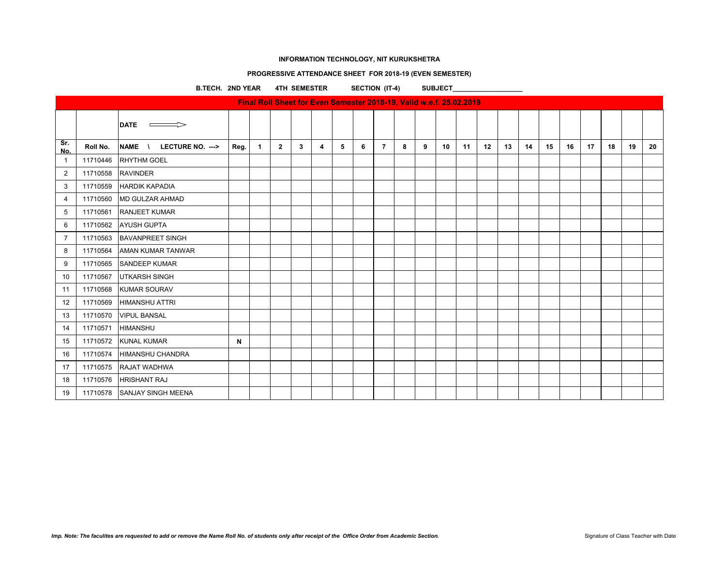# **PROGRESSIVE ATTENDANCE SHEET FOR 2018-19 (EVEN SEMESTER)**

**B.TECH. 2ND YEAR 4TH SEMESTER SECTION (IT-4) SUBJECT\_\_\_\_\_\_\_\_\_\_\_\_\_\_\_\_\_\_\_**

|                | Final Roll Sheet for Even Semester 2018-19, Valid w.e.f. 25.02.2019 |                                         |      |              |              |   |                |   |   |                |   |   |    |    |    |    |    |    |    |    |    |    |    |
|----------------|---------------------------------------------------------------------|-----------------------------------------|------|--------------|--------------|---|----------------|---|---|----------------|---|---|----|----|----|----|----|----|----|----|----|----|----|
|                |                                                                     | <b>DATE</b><br>$\overline{\phantom{a}}$ |      |              |              |   |                |   |   |                |   |   |    |    |    |    |    |    |    |    |    |    |    |
| Sr.<br>No.     | Roll No.                                                            | NAME \<br>LECTURE NO. -->               | Reg. | $\mathbf{1}$ | $\mathbf{2}$ | 3 | $\overline{4}$ | 5 | 6 | $\overline{7}$ | 8 | 9 | 10 | 11 | 12 | 13 | 14 | 15 | 16 | 17 | 18 | 19 | 20 |
| $\mathbf{1}$   | 11710446                                                            | <b>RHYTHM GOEL</b>                      |      |              |              |   |                |   |   |                |   |   |    |    |    |    |    |    |    |    |    |    |    |
| $\overline{2}$ | 11710558                                                            | <b>RAVINDER</b>                         |      |              |              |   |                |   |   |                |   |   |    |    |    |    |    |    |    |    |    |    |    |
| 3              | 11710559                                                            | <b>HARDIK KAPADIA</b>                   |      |              |              |   |                |   |   |                |   |   |    |    |    |    |    |    |    |    |    |    |    |
| $\overline{4}$ | 11710560                                                            | <b>MD GULZAR AHMAD</b>                  |      |              |              |   |                |   |   |                |   |   |    |    |    |    |    |    |    |    |    |    |    |
| 5              | 11710561                                                            | <b>RANJEET KUMAR</b>                    |      |              |              |   |                |   |   |                |   |   |    |    |    |    |    |    |    |    |    |    |    |
| 6              | 11710562                                                            | <b>AYUSH GUPTA</b>                      |      |              |              |   |                |   |   |                |   |   |    |    |    |    |    |    |    |    |    |    |    |
| $\overline{7}$ | 11710563                                                            | <b>BAVANPREET SINGH</b>                 |      |              |              |   |                |   |   |                |   |   |    |    |    |    |    |    |    |    |    |    |    |
| 8              | 11710564                                                            | AMAN KUMAR TANWAR                       |      |              |              |   |                |   |   |                |   |   |    |    |    |    |    |    |    |    |    |    |    |
| 9              | 11710565                                                            | <b>SANDEEP KUMAR</b>                    |      |              |              |   |                |   |   |                |   |   |    |    |    |    |    |    |    |    |    |    |    |
| 10             | 11710567                                                            | <b>UTKARSH SINGH</b>                    |      |              |              |   |                |   |   |                |   |   |    |    |    |    |    |    |    |    |    |    |    |
| 11             | 11710568                                                            | <b>KUMAR SOURAV</b>                     |      |              |              |   |                |   |   |                |   |   |    |    |    |    |    |    |    |    |    |    |    |
| 12             | 11710569                                                            | <b>HIMANSHU ATTRI</b>                   |      |              |              |   |                |   |   |                |   |   |    |    |    |    |    |    |    |    |    |    |    |
| 13             | 11710570                                                            | <b>VIPUL BANSAL</b>                     |      |              |              |   |                |   |   |                |   |   |    |    |    |    |    |    |    |    |    |    |    |
| 14             | 11710571                                                            | <b>HIMANSHU</b>                         |      |              |              |   |                |   |   |                |   |   |    |    |    |    |    |    |    |    |    |    |    |
| 15             | 11710572                                                            | <b>KUNAL KUMAR</b>                      | N    |              |              |   |                |   |   |                |   |   |    |    |    |    |    |    |    |    |    |    |    |
| 16             | 11710574                                                            | <b>HIMANSHU CHANDRA</b>                 |      |              |              |   |                |   |   |                |   |   |    |    |    |    |    |    |    |    |    |    |    |
| 17             | 11710575                                                            | RAJAT WADHWA                            |      |              |              |   |                |   |   |                |   |   |    |    |    |    |    |    |    |    |    |    |    |
| 18             | 11710576                                                            | <b>HRISHANT RAJ</b>                     |      |              |              |   |                |   |   |                |   |   |    |    |    |    |    |    |    |    |    |    |    |
| 19             |                                                                     | 11710578 SANJAY SINGH MEENA             |      |              |              |   |                |   |   |                |   |   |    |    |    |    |    |    |    |    |    |    |    |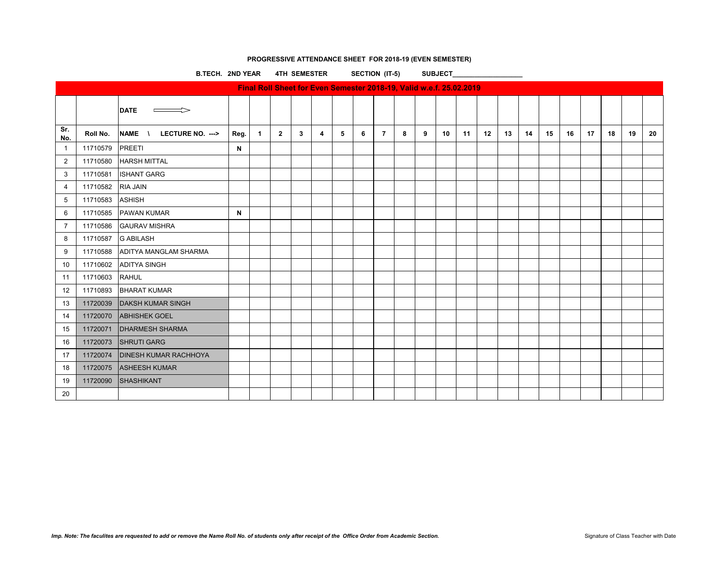# **PROGRESSIVE ATTENDANCE SHEET FOR 2018-19 (EVEN SEMESTER)**

B.TECH. 2ND YEAR 4TH SEMESTER SECTION (IT-5) SUBJECT

| Final Roll Sheet for Even Semester 2018-19, Valid w.e.f. 25.02.2019 |          |                                              |      |              |              |   |   |   |   |                |   |   |    |    |    |    |    |    |    |    |    |    |    |
|---------------------------------------------------------------------|----------|----------------------------------------------|------|--------------|--------------|---|---|---|---|----------------|---|---|----|----|----|----|----|----|----|----|----|----|----|
|                                                                     |          | <b>DATE</b>                                  |      |              |              |   |   |   |   |                |   |   |    |    |    |    |    |    |    |    |    |    |    |
| Sr.<br>No.                                                          | Roll No. | <b>NAME</b><br>LECTURE NO. ---><br>$\lambda$ | Reg. | $\mathbf{1}$ | $\mathbf{2}$ | 3 | 4 | 5 | 6 | $\overline{7}$ | 8 | 9 | 10 | 11 | 12 | 13 | 14 | 15 | 16 | 17 | 18 | 19 | 20 |
| $\mathbf{1}$                                                        | 11710579 | PREETI                                       | N    |              |              |   |   |   |   |                |   |   |    |    |    |    |    |    |    |    |    |    |    |
| $\overline{2}$                                                      | 11710580 | <b>HARSH MITTAL</b>                          |      |              |              |   |   |   |   |                |   |   |    |    |    |    |    |    |    |    |    |    |    |
| 3                                                                   | 11710581 | <b>ISHANT GARG</b>                           |      |              |              |   |   |   |   |                |   |   |    |    |    |    |    |    |    |    |    |    |    |
| 4                                                                   | 11710582 | <b>RIA JAIN</b>                              |      |              |              |   |   |   |   |                |   |   |    |    |    |    |    |    |    |    |    |    |    |
| 5                                                                   | 11710583 | <b>ASHISH</b>                                |      |              |              |   |   |   |   |                |   |   |    |    |    |    |    |    |    |    |    |    |    |
| 6                                                                   | 11710585 | <b>PAWAN KUMAR</b>                           | N    |              |              |   |   |   |   |                |   |   |    |    |    |    |    |    |    |    |    |    |    |
| $\overline{7}$                                                      | 11710586 | <b>GAURAV MISHRA</b>                         |      |              |              |   |   |   |   |                |   |   |    |    |    |    |    |    |    |    |    |    |    |
| 8                                                                   | 11710587 | <b>G ABILASH</b>                             |      |              |              |   |   |   |   |                |   |   |    |    |    |    |    |    |    |    |    |    |    |
| 9                                                                   | 11710588 | ADITYA MANGLAM SHARMA                        |      |              |              |   |   |   |   |                |   |   |    |    |    |    |    |    |    |    |    |    |    |
| 10                                                                  | 11710602 | <b>ADITYA SINGH</b>                          |      |              |              |   |   |   |   |                |   |   |    |    |    |    |    |    |    |    |    |    |    |
| 11                                                                  | 11710603 | <b>RAHUL</b>                                 |      |              |              |   |   |   |   |                |   |   |    |    |    |    |    |    |    |    |    |    |    |
| 12                                                                  | 11710893 | <b>BHARAT KUMAR</b>                          |      |              |              |   |   |   |   |                |   |   |    |    |    |    |    |    |    |    |    |    |    |
| 13                                                                  | 11720039 | <b>DAKSH KUMAR SINGH</b>                     |      |              |              |   |   |   |   |                |   |   |    |    |    |    |    |    |    |    |    |    |    |
| 14                                                                  | 11720070 | <b>ABHISHEK GOEL</b>                         |      |              |              |   |   |   |   |                |   |   |    |    |    |    |    |    |    |    |    |    |    |
| 15                                                                  | 11720071 | <b>DHARMESH SHARMA</b>                       |      |              |              |   |   |   |   |                |   |   |    |    |    |    |    |    |    |    |    |    |    |
| 16                                                                  | 11720073 | <b>SHRUTI GARG</b>                           |      |              |              |   |   |   |   |                |   |   |    |    |    |    |    |    |    |    |    |    |    |
| 17                                                                  | 11720074 | <b>DINESH KUMAR RACHHOYA</b>                 |      |              |              |   |   |   |   |                |   |   |    |    |    |    |    |    |    |    |    |    |    |
| 18                                                                  | 11720075 | <b>ASHEESH KUMAR</b>                         |      |              |              |   |   |   |   |                |   |   |    |    |    |    |    |    |    |    |    |    |    |
| 19                                                                  | 11720090 | <b>SHASHIKANT</b>                            |      |              |              |   |   |   |   |                |   |   |    |    |    |    |    |    |    |    |    |    |    |
| 20                                                                  |          |                                              |      |              |              |   |   |   |   |                |   |   |    |    |    |    |    |    |    |    |    |    |    |